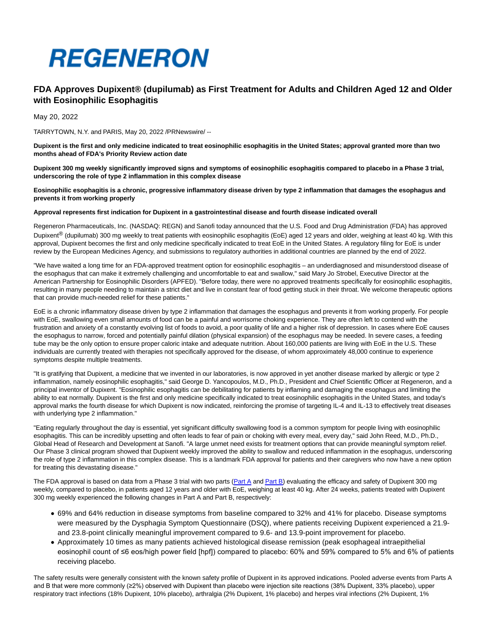

# **FDA Approves Dupixent® (dupilumab) as First Treatment for Adults and Children Aged 12 and Older with Eosinophilic Esophagitis**

May 20, 2022

TARRYTOWN, N.Y. and PARIS, May 20, 2022 /PRNewswire/ --

**Dupixent is the first and only medicine indicated to treat eosinophilic esophagitis in the United States; approval granted more than two months ahead of FDA's Priority Review action date**

**Dupixent 300 mg weekly significantly improved signs and symptoms of eosinophilic esophagitis compared to placebo in a Phase 3 trial, underscoring the role of type 2 inflammation in this complex disease**

**Eosinophilic esophagitis is a chronic, progressive inflammatory disease driven by type 2 inflammation that damages the esophagus and prevents it from working properly**

#### **Approval represents first indication for Dupixent in a gastrointestinal disease and fourth disease indicated overall**

Regeneron Pharmaceuticals, Inc. (NASDAQ: REGN) and Sanofi today announced that the U.S. Food and Drug Administration (FDA) has approved Dupixent<sup>®</sup> (dupilumab) 300 mg weekly to treat patients with eosinophilic esophagitis (EoE) aged 12 years and older, weighing at least 40 kg. With this approval, Dupixent becomes the first and only medicine specifically indicated to treat EoE in the United States. A regulatory filing for EoE is under review by the European Medicines Agency, and submissions to regulatory authorities in additional countries are planned by the end of 2022.

"We have waited a long time for an FDA-approved treatment option for eosinophilic esophagitis – an underdiagnosed and misunderstood disease of the esophagus that can make it extremely challenging and uncomfortable to eat and swallow," said Mary Jo Strobel, Executive Director at the American Partnership for Eosinophilic Disorders (APFED). "Before today, there were no approved treatments specifically for eosinophilic esophagitis, resulting in many people needing to maintain a strict diet and live in constant fear of food getting stuck in their throat. We welcome therapeutic options that can provide much-needed relief for these patients."

EoE is a chronic inflammatory disease driven by type 2 inflammation that damages the esophagus and prevents it from working properly. For people with EoE, swallowing even small amounts of food can be a painful and worrisome choking experience. They are often left to contend with the frustration and anxiety of a constantly evolving list of foods to avoid, a poor quality of life and a higher risk of depression. In cases where EoE causes the esophagus to narrow, forced and potentially painful dilation (physical expansion) of the esophagus may be needed. In severe cases, a feeding tube may be the only option to ensure proper caloric intake and adequate nutrition. About 160,000 patients are living with EoE in the U.S. These individuals are currently treated with therapies not specifically approved for the disease, of whom approximately 48,000 continue to experience symptoms despite multiple treatments.

"It is gratifying that Dupixent, a medicine that we invented in our laboratories, is now approved in yet another disease marked by allergic or type 2 inflammation, namely eosinophilic esophagitis," said George D. Yancopoulos, M.D., Ph.D., President and Chief Scientific Officer at Regeneron, and a principal inventor of Dupixent. "Eosinophilic esophagitis can be debilitating for patients by inflaming and damaging the esophagus and limiting the ability to eat normally. Dupixent is the first and only medicine specifically indicated to treat eosinophilic esophagitis in the United States, and today's approval marks the fourth disease for which Dupixent is now indicated, reinforcing the promise of targeting IL-4 and IL-13 to effectively treat diseases with underlying type 2 inflammation."

"Eating regularly throughout the day is essential, yet significant difficulty swallowing food is a common symptom for people living with eosinophilic esophagitis. This can be incredibly upsetting and often leads to fear of pain or choking with every meal, every day," said John Reed, M.D., Ph.D., Global Head of Research and Development at Sanofi. "A large unmet need exists for treatment options that can provide meaningful symptom relief. Our Phase 3 clinical program showed that Dupixent weekly improved the ability to swallow and reduced inflammation in the esophagus, underscoring the role of type 2 inflammation in this complex disease. This is a landmark FDA approval for patients and their caregivers who now have a new option for treating this devastating disease."

The FDA approval is based on data from a Phase 3 trial with two parts [\(Part A a](https://c212.net/c/link/?t=0&l=en&o=3544147-1&h=3957658558&u=https%3A%2F%2Fnewsroom.regeneron.com%2Fnews-releases%2Fnews-release-details%2Flate-breaking-data-2022-aaaai-annual-meeting-show-dupixentr&a=Part+A)n[d Part B\)](https://c212.net/c/link/?t=0&l=en&o=3544147-1&h=3824460147&u=https%3A%2F%2Fnewsroom.regeneron.com%2Fnews-releases%2Fnews-release-details%2Fdupixentr-dupilumab-eosinophilic-esophagitis-trial-meets-both-co&a=Part+B) evaluating the efficacy and safety of Dupixent 300 mg weekly, compared to placebo, in patients aged 12 years and older with EoE, weighing at least 40 kg. After 24 weeks, patients treated with Dupixent 300 mg weekly experienced the following changes in Part A and Part B, respectively:

- 69% and 64% reduction in disease symptoms from baseline compared to 32% and 41% for placebo. Disease symptoms were measured by the Dysphagia Symptom Questionnaire (DSQ), where patients receiving Dupixent experienced a 21.9 and 23.8-point clinically meaningful improvement compared to 9.6- and 13.9-point improvement for placebo.
- Approximately 10 times as many patients achieved histological disease remission (peak esophageal intraepithelial eosinophil count of ≤6 eos/high power field [hpf]) compared to placebo: 60% and 59% compared to 5% and 6% of patients receiving placebo.

The safety results were generally consistent with the known safety profile of Dupixent in its approved indications. Pooled adverse events from Parts A and B that were more commonly (≥2%) observed with Dupixent than placebo were injection site reactions (38% Dupixent, 33% placebo), upper respiratory tract infections (18% Dupixent, 10% placebo), arthralgia (2% Dupixent, 1% placebo) and herpes viral infections (2% Dupixent, 1%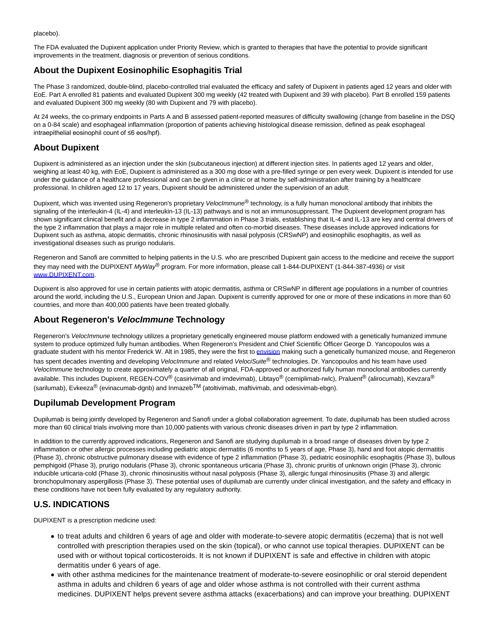placebo).

The FDA evaluated the Dupixent application under Priority Review, which is granted to therapies that have the potential to provide significant improvements in the treatment, diagnosis or prevention of serious conditions.

# **About the Dupixent Eosinophilic Esophagitis Trial**

The Phase 3 randomized, double-blind, placebo-controlled trial evaluated the efficacy and safety of Dupixent in patients aged 12 years and older with EoE. Part A enrolled 81 patients and evaluated Dupixent 300 mg weekly (42 treated with Dupixent and 39 with placebo). Part B enrolled 159 patients and evaluated Dupixent 300 mg weekly (80 with Dupixent and 79 with placebo).

At 24 weeks, the co-primary endpoints in Parts A and B assessed patient-reported measures of difficulty swallowing (change from baseline in the DSQ on a 0-84 scale) and esophageal inflammation (proportion of patients achieving histological disease remission, defined as peak esophageal intraepithelial eosinophil count of ≤6 eos/hpf).

# **About Dupixent**

Dupixent is administered as an injection under the skin (subcutaneous injection) at different injection sites. In patients aged 12 years and older, weighing at least 40 kg, with EoE, Dupixent is administered as a 300 mg dose with a pre-filled syringe or pen every week. Dupixent is intended for use under the guidance of a healthcare professional and can be given in a clinic or at home by self-administration after training by a healthcare professional. In children aged 12 to 17 years, Dupixent should be administered under the supervision of an adult.

Dupixent, which was invented using Regeneron's proprietary Veloclmmune<sup>®</sup> technology, is a fully human monoclonal antibody that inhibits the signaling of the interleukin-4 (IL-4) and interleukin-13 (IL-13) pathways and is not an immunosuppressant. The Dupixent development program has shown significant clinical benefit and a decrease in type 2 inflammation in Phase 3 trials, establishing that IL-4 and IL-13 are key and central drivers of the type 2 inflammation that plays a major role in multiple related and often co-morbid diseases. These diseases include approved indications for Dupixent such as asthma, atopic dermatitis, chronic rhinosinusitis with nasal polyposis (CRSwNP) and eosinophilic esophagitis, as well as investigational diseases such as prurigo nodularis.

Regeneron and Sanofi are committed to helping patients in the U.S. who are prescribed Dupixent gain access to the medicine and receive the support they may need with the DUPIXENT MyWay® program. For more information, please call 1-844-DUPIXENT (1-844-387-4936) or visit [www.DUPIXENT.com.](https://c212.net/c/link/?t=0&l=en&o=3544147-1&h=2024305695&u=http%3A%2F%2Fwww.dupixent.com%2F&a=www.DUPIXENT.com)

Dupixent is also approved for use in certain patients with atopic dermatitis, asthma or CRSwNP in different age populations in a number of countries around the world, including the U.S., European Union and Japan. Dupixent is currently approved for one or more of these indications in more than 60 countries, and more than 400,000 patients have been treated globally.

# **About Regeneron's VelocImmune Technology**

Regeneron's Veloclmmune technology utilizes a proprietary genetically engineered mouse platform endowed with a genetically humanized immune system to produce optimized fully human antibodies. When Regeneron's President and Chief Scientific Officer George D. Yancopoulos was a graduate student with his mentor Frederick W. Alt in 1985, they were the first to [envision m](https://c212.net/c/link/?t=0&l=en&o=3544147-1&h=3291123910&u=https%3A%2F%2Fwww.sciencedirect.com%2Fscience%2Farticle%2Fabs%2Fpii%2F0168952585900897&a=envision)aking such a genetically humanized mouse, and Regeneron has spent decades inventing and developing VelocImmune and related VelociSuite® technologies. Dr. Yancopoulos and his team have used VelocImmune technology to create approximately a quarter of all original, FDA-approved or authorized fully human monoclonal antibodies currently available. This includes Dupixent, REGEN-COV<sup>®</sup> (casirivimab and imdevimab), Libtayo<sup>®</sup> (cemiplimab-rwlc), Praluent<sup>®</sup> (alirocumab), Kevzara<sup>®</sup> (sarilumab), Evkeeza® (evinacumab-dgnb) and Inmazeb<sup>TM</sup> (atoltivimab, maftivimab, and odesivimab-ebgn).

# **Dupilumab Development Program**

Dupilumab is being jointly developed by Regeneron and Sanofi under a global collaboration agreement. To date, dupilumab has been studied across more than 60 clinical trials involving more than 10,000 patients with various chronic diseases driven in part by type 2 inflammation.

In addition to the currently approved indications, Regeneron and Sanofi are studying dupilumab in a broad range of diseases driven by type 2 inflammation or other allergic processes including pediatric atopic dermatitis (6 months to 5 years of age, Phase 3), hand and foot atopic dermatitis (Phase 3), chronic obstructive pulmonary disease with evidence of type 2 inflammation (Phase 3), pediatric eosinophilic esophagitis (Phase 3), bullous pemphigoid (Phase 3), prurigo nodularis (Phase 3), chronic spontaneous urticaria (Phase 3), chronic pruritis of unknown origin (Phase 3), chronic inducible urticaria-cold (Phase 3), chronic rhinosinusitis without nasal polyposis (Phase 3), allergic fungal rhinosinusitis (Phase 3) and allergic bronchopulmonary aspergillosis (Phase 3). These potential uses of dupilumab are currently under clinical investigation, and the safety and efficacy in these conditions have not been fully evaluated by any regulatory authority.

# **U.S. INDICATIONS**

DUPIXENT is a prescription medicine used:

- to treat adults and children 6 years of age and older with moderate-to-severe atopic dermatitis (eczema) that is not well controlled with prescription therapies used on the skin (topical), or who cannot use topical therapies. DUPIXENT can be used with or without topical corticosteroids. It is not known if DUPIXENT is safe and effective in children with atopic dermatitis under 6 years of age.
- with other asthma medicines for the maintenance treatment of moderate-to-severe eosinophilic or oral steroid dependent asthma in adults and children 6 years of age and older whose asthma is not controlled with their current asthma medicines. DUPIXENT helps prevent severe asthma attacks (exacerbations) and can improve your breathing. DUPIXENT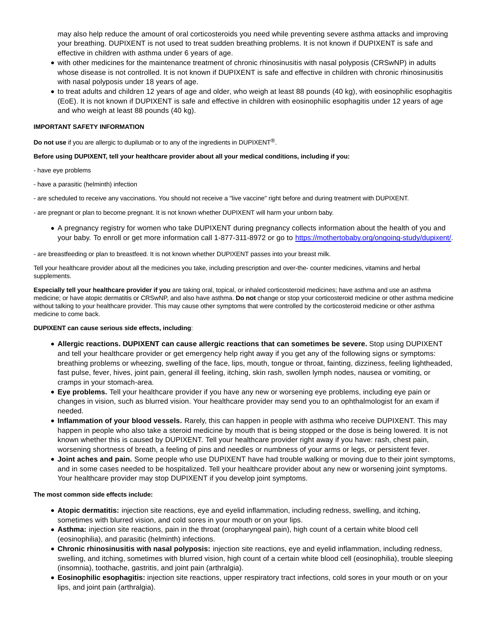may also help reduce the amount of oral corticosteroids you need while preventing severe asthma attacks and improving your breathing. DUPIXENT is not used to treat sudden breathing problems. It is not known if DUPIXENT is safe and effective in children with asthma under 6 years of age.

- with other medicines for the maintenance treatment of chronic rhinosinusitis with nasal polyposis (CRSwNP) in adults whose disease is not controlled. It is not known if DUPIXENT is safe and effective in children with chronic rhinosinusitis with nasal polyposis under 18 years of age.
- to treat adults and children 12 years of age and older, who weigh at least 88 pounds (40 kg), with eosinophilic esophagitis (EoE). It is not known if DUPIXENT is safe and effective in children with eosinophilic esophagitis under 12 years of age and who weigh at least 88 pounds (40 kg).

#### **IMPORTANT SAFETY INFORMATION**

**Do not use** if you are allergic to dupilumab or to any of the ingredients in DUPIXENT®.

#### **Before using DUPIXENT, tell your healthcare provider about all your medical conditions, including if you:**

- have eye problems
- have a parasitic (helminth) infection
- are scheduled to receive any vaccinations. You should not receive a "live vaccine" right before and during treatment with DUPIXENT.
- are pregnant or plan to become pregnant. It is not known whether DUPIXENT will harm your unborn baby.
	- A pregnancy registry for women who take DUPIXENT during pregnancy collects information about the health of you and your baby. To enroll or get more information call 1-877-311-8972 or go to [https://mothertobaby.org/ongoing-study/dupixent/.](https://c212.net/c/link/?t=0&l=en&o=3544147-1&h=3403053952&u=https%3A%2F%2Fmothertobaby.org%2Fongoing-study%2Fdupixent%2F&a=https%3A%2F%2Fmothertobaby.org%2Fongoing-study%2Fdupixent%2F)
- are breastfeeding or plan to breastfeed. It is not known whether DUPIXENT passes into your breast milk.

Tell your healthcare provider about all the medicines you take, including prescription and over-the- counter medicines, vitamins and herbal supplements.

**Especially tell your healthcare provider if you** are taking oral, topical, or inhaled corticosteroid medicines; have asthma and use an asthma medicine; or have atopic dermatitis or CRSwNP, and also have asthma. **Do not** change or stop your corticosteroid medicine or other asthma medicine without talking to your healthcare provider. This may cause other symptoms that were controlled by the corticosteroid medicine or other asthma medicine to come back.

#### **DUPIXENT can cause serious side effects, including**:

- **Allergic reactions. DUPIXENT can cause allergic reactions that can sometimes be severe.** Stop using DUPIXENT and tell your healthcare provider or get emergency help right away if you get any of the following signs or symptoms: breathing problems or wheezing, swelling of the face, lips, mouth, tongue or throat, fainting, dizziness, feeling lightheaded, fast pulse, fever, hives, joint pain, general ill feeling, itching, skin rash, swollen lymph nodes, nausea or vomiting, or cramps in your stomach-area.
- **Eye problems.** Tell your healthcare provider if you have any new or worsening eye problems, including eye pain or changes in vision, such as blurred vision. Your healthcare provider may send you to an ophthalmologist for an exam if needed.
- **Inflammation of your blood vessels.** Rarely, this can happen in people with asthma who receive DUPIXENT. This may happen in people who also take a steroid medicine by mouth that is being stopped or the dose is being lowered. It is not known whether this is caused by DUPIXENT. Tell your healthcare provider right away if you have: rash, chest pain, worsening shortness of breath, a feeling of pins and needles or numbness of your arms or legs, or persistent fever.
- **Joint aches and pain.** Some people who use DUPIXENT have had trouble walking or moving due to their joint symptoms, and in some cases needed to be hospitalized. Tell your healthcare provider about any new or worsening joint symptoms. Your healthcare provider may stop DUPIXENT if you develop joint symptoms.

#### **The most common side effects include:**

- **Atopic dermatitis:** injection site reactions, eye and eyelid inflammation, including redness, swelling, and itching, sometimes with blurred vision, and cold sores in your mouth or on your lips.
- **Asthma:** injection site reactions, pain in the throat (oropharyngeal pain), high count of a certain white blood cell (eosinophilia), and parasitic (helminth) infections.
- **Chronic rhinosinusitis with nasal polyposis:** injection site reactions, eye and eyelid inflammation, including redness, swelling, and itching, sometimes with blurred vision, high count of a certain white blood cell (eosinophilia), trouble sleeping (insomnia), toothache, gastritis, and joint pain (arthralgia).
- **Eosinophilic esophagitis:** injection site reactions, upper respiratory tract infections, cold sores in your mouth or on your lips, and joint pain (arthralgia).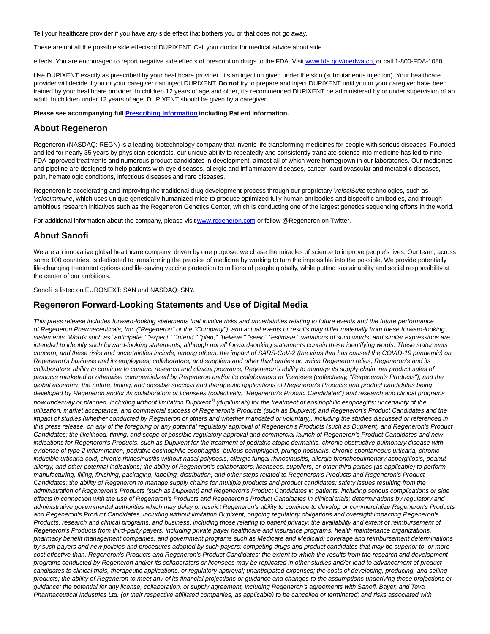Tell your healthcare provider if you have any side effect that bothers you or that does not go away.

These are not all the possible side effects of DUPIXENT. Call your doctor for medical advice about side

effects. You are encouraged to report negative side effects of prescription drugs to the FDA. Visit [www.fda.gov/medwatch, o](https://c212.net/c/link/?t=0&l=en&o=3544147-1&h=3482239820&u=http%3A%2F%2Fwww.fda.gov%2Fmedwatch&a=www.fda.gov%2Fmedwatch%2C+)r call 1-800-FDA-1088.

Use DUPIXENT exactly as prescribed by your healthcare provider. It's an injection given under the skin (subcutaneous injection). Your healthcare provider will decide if you or your caregiver can inject DUPIXENT. **Do not** try to prepare and inject DUPIXENT until you or your caregiver have been trained by your healthcare provider. In children 12 years of age and older, it's recommended DUPIXENT be administered by or under supervision of an adult. In children under 12 years of age, DUPIXENT should be given by a caregiver.

**Please see accompanying full [Prescribing Information](https://c212.net/c/link/?t=0&l=en&o=3544147-1&h=3781004287&u=https%3A%2F%2Fwww.regeneron.com%2Fsites%2Fdefault%2Ffiles%2FDupixent_FPI.pdf&a=Prescribing%C2%A0Information) including Patient Information.**

### **About Regeneron**

Regeneron (NASDAQ: REGN) is a leading biotechnology company that invents life-transforming medicines for people with serious diseases. Founded and led for nearly 35 years by physician-scientists, our unique ability to repeatedly and consistently translate science into medicine has led to nine FDA-approved treatments and numerous product candidates in development, almost all of which were homegrown in our laboratories. Our medicines and pipeline are designed to help patients with eye diseases, allergic and inflammatory diseases, cancer, cardiovascular and metabolic diseases, pain, hematologic conditions, infectious diseases and rare diseases.

Regeneron is accelerating and improving the traditional drug development process through our proprietary VelociSuite technologies, such as VelocImmune, which uses unique genetically humanized mice to produce optimized fully human antibodies and bispecific antibodies, and through ambitious research initiatives such as the Regeneron Genetics Center, which is conducting one of the largest genetics sequencing efforts in the world.

For additional information about the company, please visi[t www.regeneron.com o](https://c212.net/c/link/?t=0&l=en&o=3544147-1&h=1948048055&u=http%3A%2F%2Fwww.regeneron.com%2F&a=www.regeneron.com)r follow @Regeneron on Twitter.

### **About Sanofi**

We are an innovative global healthcare company, driven by one purpose: we chase the miracles of science to improve people's lives. Our team, across some 100 countries, is dedicated to transforming the practice of medicine by working to turn the impossible into the possible. We provide potentially life-changing treatment options and life-saving vaccine protection to millions of people globally, while putting sustainability and social responsibility at the center of our ambitions.

Sanofi is listed on EURONEXT: SAN and NASDAQ: SNY.

### **Regeneron Forward-Looking Statements and Use of Digital Media**

This press release includes forward-looking statements that involve risks and uncertainties relating to future events and the future performance of Regeneron Pharmaceuticals, Inc. ("Regeneron" or the "Company"), and actual events or results may differ materially from these forward-looking statements. Words such as "anticipate," "expect," "intend," "plan," "believe," "seek," "estimate," variations of such words, and similar expressions are intended to identify such forward-looking statements, although not all forward-looking statements contain these identifying words. These statements concern, and these risks and uncertainties include, among others, the impact of SARS-CoV-2 (the virus that has caused the COVID-19 pandemic) on Regeneron's business and its employees, collaborators, and suppliers and other third parties on which Regeneron relies, Regeneron's and its collaborators' ability to continue to conduct research and clinical programs, Regeneron's ability to manage its supply chain, net product sales of products marketed or otherwise commercialized by Regeneron and/or its collaborators or licensees (collectively, "Regeneron's Products"), and the global economy; the nature, timing, and possible success and therapeutic applications of Regeneron's Products and product candidates being developed by Regeneron and/or its collaborators or licensees (collectively, "Regeneron's Product Candidates") and research and clinical programs now underway or planned, including without limitation Dupixent<sup>®</sup> (dupilumab) for the treatment of eosinophilic esophagitis; uncertainty of the utilization, market acceptance, and commercial success of Regeneron's Products (such as Dupixent) and Regeneron's Product Candidates and the impact of studies (whether conducted by Regeneron or others and whether mandated or voluntary), including the studies discussed or referenced in this press release, on any of the foregoing or any potential regulatory approval of Regeneron's Products (such as Dupixent) and Regeneron's Product Candidates; the likelihood, timing, and scope of possible regulatory approval and commercial launch of Regeneron's Product Candidates and new indications for Regeneron's Products, such as Dupixent for the treatment of pediatric atopic dermatitis, chronic obstructive pulmonary disease with evidence of type 2 inflammation, pediatric eosinophilic esophagitis, bullous pemphigoid, prurigo nodularis, chronic spontaneous urticaria, chronic inducible urticaria-cold, chronic rhinosinusitis without nasal polyposis, allergic fungal rhinosinusitis, allergic bronchopulmonary aspergillosis, peanut allergy, and other potential indications; the ability of Regeneron's collaborators, licensees, suppliers, or other third parties (as applicable) to perform manufacturing, filling, finishing, packaging, labeling, distribution, and other steps related to Regeneron's Products and Regeneron's Product Candidates; the ability of Regeneron to manage supply chains for multiple products and product candidates; safety issues resulting from the administration of Regeneron's Products (such as Dupixent) and Regeneron's Product Candidates in patients, including serious complications or side effects in connection with the use of Regeneron's Products and Regeneron's Product Candidates in clinical trials; determinations by regulatory and administrative governmental authorities which may delay or restrict Regeneron's ability to continue to develop or commercialize Regeneron's Products and Regeneron's Product Candidates, including without limitation Dupixent; ongoing regulatory obligations and oversight impacting Regeneron's Products, research and clinical programs, and business, including those relating to patient privacy; the availability and extent of reimbursement of Regeneron's Products from third-party payers, including private payer healthcare and insurance programs, health maintenance organizations, pharmacy benefit management companies, and government programs such as Medicare and Medicaid; coverage and reimbursement determinations by such payers and new policies and procedures adopted by such payers; competing drugs and product candidates that may be superior to, or more cost effective than, Regeneron's Products and Regeneron's Product Candidates; the extent to which the results from the research and development programs conducted by Regeneron and/or its collaborators or licensees may be replicated in other studies and/or lead to advancement of product candidates to clinical trials, therapeutic applications, or regulatory approval; unanticipated expenses; the costs of developing, producing, and selling products; the ability of Regeneron to meet any of its financial projections or guidance and changes to the assumptions underlying those projections or guidance; the potential for any license, collaboration, or supply agreement, including Regeneron's agreements with Sanofi, Bayer, and Teva Pharmaceutical Industries Ltd. (or their respective affiliated companies, as applicable) to be cancelled or terminated; and risks associated with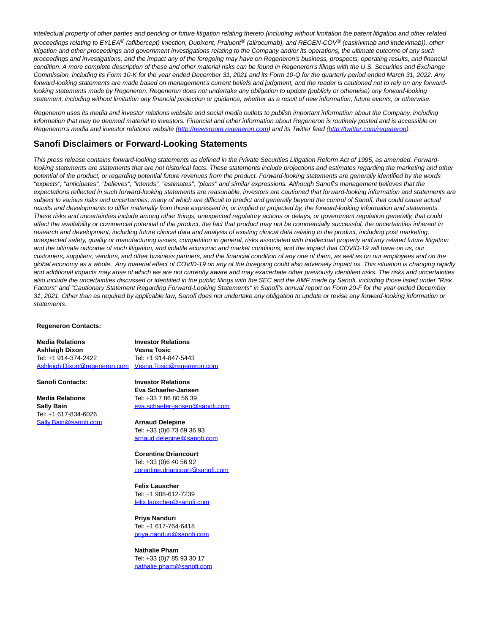intellectual property of other parties and pending or future litigation relating thereto (including without limitation the patent litigation and other related proceedings relating to EYLEA<sup>®</sup> (aflibercept) Injection, Dupixent, Praluent<sup>®</sup> (alirocumab), and REGEN-COV<sup>®</sup> (casirivimab and imdevimab)), other litigation and other proceedings and government investigations relating to the Company and/or its operations, the ultimate outcome of any such proceedings and investigations, and the impact any of the foregoing may have on Regeneron's business, prospects, operating results, and financial condition. A more complete description of these and other material risks can be found in Regeneron's filings with the U.S. Securities and Exchange Commission, including its Form 10-K for the year ended December 31, 2021 and its Form 10-Q for the quarterly period ended March 31, 2022. Any forward-looking statements are made based on management's current beliefs and judgment, and the reader is cautioned not to rely on any forwardlooking statements made by Regeneron. Regeneron does not undertake any obligation to update (publicly or otherwise) any forward-looking statement, including without limitation any financial projection or guidance, whether as a result of new information, future events, or otherwise.

Regeneron uses its media and investor relations website and social media outlets to publish important information about the Company, including information that may be deemed material to investors. Financial and other information about Regeneron is routinely posted and is accessible on Regeneron's media and investor relations website [\(http://newsroom.regeneron.com\)](https://c212.net/c/link/?t=0&l=en&o=3544147-1&h=1567990221&u=http%3A%2F%2Fnewsroom.regeneron.com%2F&a=http%3A%2F%2Fnewsroom.regeneron.com) and its Twitter feed [\(http://twitter.com/regeneron\).](https://c212.net/c/link/?t=0&l=en&o=3544147-1&h=1529093690&u=https%3A%2F%2Fc212.net%2Fc%2Flink%2F%3Ft%3D0%26l%3Den%26o%3D3387026-1%26h%3D619644995%26u%3Dhttp%253A%252F%252Ftwitter.com%252Fregeneron%26a%3Dhttp%253A%252F%252Ftwitter.com%252Fregeneron&a=http%3A%2F%2Ftwitter.com%2Fregeneron)

### **Sanofi Disclaimers or Forward-Looking Statements**

This press release contains forward-looking statements as defined in the Private Securities Litigation Reform Act of 1995, as amended. Forwardlooking statements are statements that are not historical facts. These statements include projections and estimates regarding the marketing and other potential of the product, or regarding potential future revenues from the product. Forward-looking statements are generally identified by the words "expects", "anticipates", "believes", "intends", "estimates", "plans" and similar expressions. Although Sanofi's management believes that the expectations reflected in such forward-looking statements are reasonable, investors are cautioned that forward-looking information and statements are subject to various risks and uncertainties, many of which are difficult to predict and generally beyond the control of Sanofi, that could cause actual results and developments to differ materially from those expressed in, or implied or projected by, the forward-looking information and statements. These risks and uncertainties include among other things, unexpected regulatory actions or delays, or government regulation generally, that could affect the availability or commercial potential of the product, the fact that product may not be commercially successful, the uncertainties inherent in research and development, including future clinical data and analysis of existing clinical data relating to the product, including post marketing, unexpected safety, quality or manufacturing issues, competition in general, risks associated with intellectual property and any related future litigation and the ultimate outcome of such litigation, and volatile economic and market conditions, and the impact that COVID-19 will have on us, our customers, suppliers, vendors, and other business partners, and the financial condition of any one of them, as well as on our employees and on the global economy as a whole. Any material effect of COVID-19 on any of the foregoing could also adversely impact us. This situation is changing rapidly and additional impacts may arise of which we are not currently aware and may exacerbate other previously identified risks. The risks and uncertainties also include the uncertainties discussed or identified in the public filings with the SEC and the AMF made by Sanofi, including those listed under "Risk Factors" and "Cautionary Statement Regarding Forward-Looking Statements" in Sanofi's annual report on Form 20-F for the year ended December 31, 2021. Other than as required by applicable law, Sanofi does not undertake any obligation to update or revise any forward-looking information or statements.

#### **Regeneron Contacts:**

**Media Relations Ashleigh Dixon** Tel: +1 914-374-2422 [Ashleigh.Dixon@regeneron.com](mailto:Ashleigh.Dixon@regeneron.com) [Vesna.Tosic@regeneron.com](mailto:Vesna.Tosic@regeneron.com) **Investor Relations**

**Sanofi Contacts:**

**Media Relations Sally Bain** Tel: +1 617-834-6026 [Sally.Bain@sanofi.com](mailto:Sally.Bain@sanofi.com) **Vesna Tosic** Tel: +1 914-847-5443

**Investor Relations Eva Schaefer-Jansen** Tel: +33 7 86 80 56 39 [eva.schaefer-jansen@sanofi.com](mailto:eva.schaefer-jansen@sanofi.com)

**Arnaud Delepine** Tel: +33 (0)6 73 69 36 93 [arnaud.delepine@sanofi.com](mailto:arnaud.delepine@sanofi.com)

**Corentine Driancourt** Tel: +33 (0)6 40 56 92 [corentine.driancourt@sanofi.com](mailto:corentine.driancourt@sanofi.com)

**Felix Lauscher** Tel: +1 908-612-7239 [felix.lauscher@sanofi.com](mailto:felix.lauscher@sanofi.com)

**Priya Nanduri** Tel: +1 617-764-6418 [priya.nanduri@sanofi.com](mailto:priya.nanduri@sanofi.com)

**Nathalie Pham** Tel: +33 (0)7 85 93 30 17 [nathalie.pham@sanofi.com](mailto:nathalie.pham@sanofi.com)